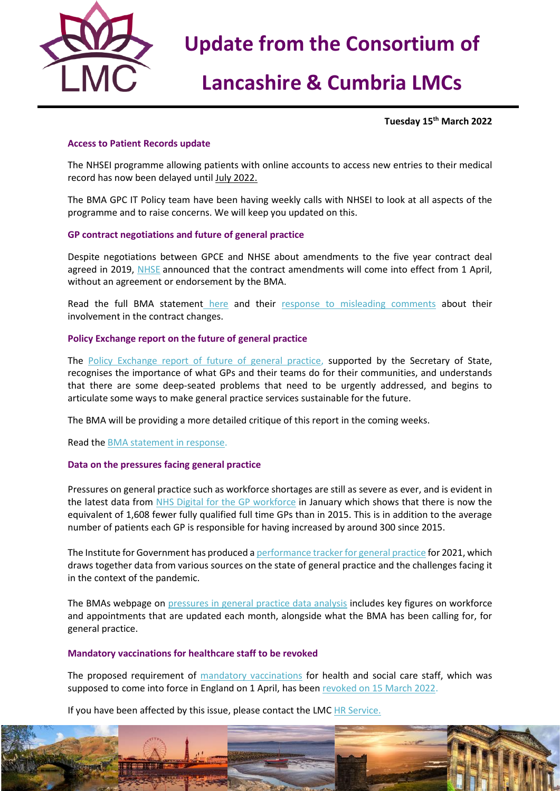

# **Lancashire & Cumbria LMCs**

**Tuesday 15th March 2022**

## **Access to Patient Records update**

The NHSEI programme allowing patients with online accounts to access new entries to their medical record has now been delayed until July 2022.

The BMA GPC IT Policy team have been having weekly calls with NHSEI to look at all aspects of the programme and to raise concerns. We will keep you updated on this.

## **GP contract negotiations and future of general practice**

Despite negotiations between GPCE and NHSE about amendments to the five year contract deal agreed in 2019, [NHSE](https://www.england.nhs.uk/publication/letter-general-practice-contract-arrangements-in-2022-23/) announced that the contract amendments will come into effect from 1 April, without an agreement or endorsement by the BMA.

Read the full BMA statement [here](https://www.bma.org.uk/bma-media-centre/bma-bitterly-disappointed-at-gp-contract-changes-for-england-announced-with-no-agreement) and their [response to misleading comments](https://www.bma.org.uk/bma-media-centre/bma-gpc-responds-to-misleading-comments-about-its-involvement-in-the-22-23-gp-contract) about their involvement in the contract changes.

### **Policy Exchange report on the future of general practice**

The [Policy Exchange report of future of general practice,](https://policyexchange.org.uk/publication/at-your-service/) supported by the Secretary of State, recognises the importance of what GPs and their teams do for their communities, and understands that there are some deep-seated problems that need to be urgently addressed, and begins to articulate some ways to make general practice services sustainable for the future.

The BMA will be providing a more detailed critique of this report in the coming weeks.

Read th[e BMA statement in response.](https://www.bma.org.uk/bma-media-centre/we-can-t-begin-to-build-a-better-general-practice-if-we-don-t-learn-from-what-s-come-before-says-bma)

### **Data on the pressures facing general practice**

Pressures on general practice such as workforce shortages are still as severe as ever, and is evident in the latest data from [NHS Digital for the GP workforce](https://digital.nhs.uk/data-and-information/publications/statistical/general-and-personal-medical-services/31-january-2022) in January which shows that there is now the equivalent of 1,608 fewer fully qualified full time GPs than in 2015. This is in addition to the average number of patients each GP is responsible for having increased by around 300 since 2015.

The Institute for Government has produced a [performance tracker for general practice](https://www.instituteforgovernment.org.uk/publication/performance-tracker-2021/general-practice) for 2021, which draws together data from various sources on the state of general practice and the challenges facing it in the context of the pandemic.

The BMAs webpage on [pressures in general practice data analysis](https://www.bma.org.uk/advice-and-support/nhs-delivery-and-workforce/pressures/pressures-in-general-practice-data-analysis) includes key figures on workforce and appointments that are updated each month, alongside what the BMA has been calling for, for general practice.

### **Mandatory vaccinations for healthcare staff to be revoked**

The proposed requirement of [mandatory vaccinations](https://www.bma.org.uk/advice-and-support/covid-19/vaccines/covid-19-mandatory-vaccinations-for-staff-in-gp-practices) for health and social care staff, which was supposed to come into force in England on 1 April, has been [revoked on 15 March 2022.](https://www.gov.uk/government/consultations/revoking-vaccination-as-a-condition-of-deployment-across-all-health-and-social-care/outcome/revoking-vaccination-as-a-condition-of-deployment-across-all-health-and-social-care-consultation-response)

If you have been affected by this issue, please contact the LMC [HR Service.](mailto:hr@nwlmcs.org)

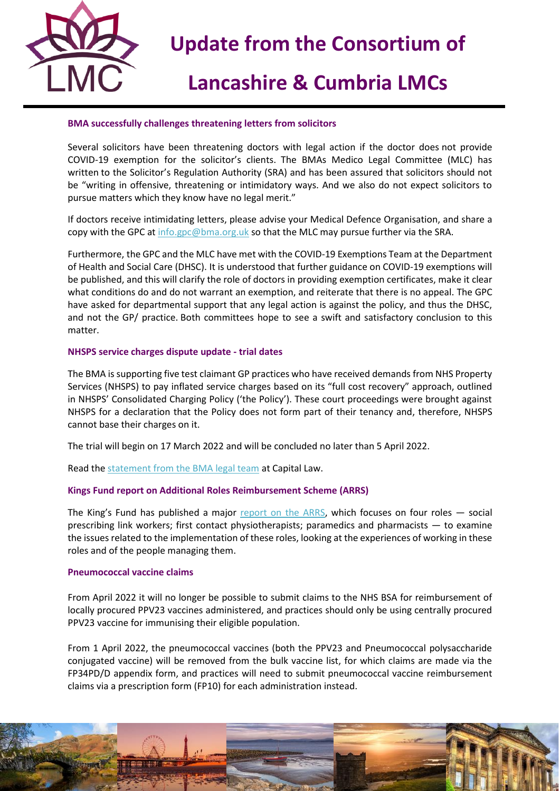

## **Lancashire & Cumbria LMCs**

## **BMA successfully challenges threatening letters from solicitors**

Several solicitors have been threatening doctors with legal action if the doctor does not provide COVID-19 exemption for the solicitor's clients. The BMAs Medico Legal Committee (MLC) has written to the Solicitor's Regulation Authority (SRA) and has been assured that solicitors should not be "writing in offensive, threatening or intimidatory ways. And we also do not expect solicitors to pursue matters which they know have no legal merit."

If doctors receive intimidating letters, please advise your Medical Defence Organisation, and share a copy with the GPC at [info.gpc@bma.org.uk](mailto:info.gpc@bma.org.uk) so that the MLC may pursue further via the SRA.

Furthermore, the GPC and the MLC have met with the COVID-19 Exemptions Team at the Department of Health and Social Care (DHSC). It is understood that further guidance on COVID-19 exemptions will be published, and this will clarify the role of doctors in providing exemption certificates, make it clear what conditions do and do not warrant an exemption, and reiterate that there is no appeal. The GPC have asked for departmental support that any legal action is against the policy, and thus the DHSC, and not the GP/ practice. Both committees hope to see a swift and satisfactory conclusion to this matter.

### **NHSPS service charges dispute update - trial dates**

The BMA is supporting five test claimant GP practices who have received demands from NHS Property Services (NHSPS) to pay inflated service charges based on its "full cost recovery" approach, outlined in NHSPS' Consolidated Charging Policy ('the Policy'). These court proceedings were brought against NHSPS for a declaration that the Policy does not form part of their tenancy and, therefore, NHSPS cannot base their charges on it.

The trial will begin on 17 March 2022 and will be concluded no later than 5 April 2022.

Read th[e statement from the BMA legal team](https://protect-eu.mimecast.com/s/a8PLCmy55Fj4YOgTGbM1S?domain=capitallaw.co.uk/) at Capital Law.

### **Kings Fund report on Additional Roles Reimbursement Scheme (ARRS)**

The King's Fund has published a major [report on the ARRS,](https://protect-eu.mimecast.com/s/4cOUC0LKKHGPqEYhweEXG?domain=kingsfund.org.uk) which focuses on four roles – social prescribing link workers; first contact physiotherapists; paramedics and pharmacists — to examine the issues related to the implementation of these roles, looking at the experiences of working in these roles and of the people managing them.

### **Pneumococcal vaccine claims**

From April 2022 it will no longer be possible to submit claims to the NHS BSA for reimbursement of locally procured PPV23 vaccines administered, and practices should only be using centrally procured PPV23 vaccine for immunising their eligible population.

From 1 April 2022, the pneumococcal vaccines (both the PPV23 and Pneumococcal polysaccharide conjugated vaccine) will be removed from the bulk vaccine list, for which claims are made via the FP34PD/D appendix form, and practices will need to submit pneumococcal vaccine reimbursement claims via a prescription form (FP10) for each administration instead.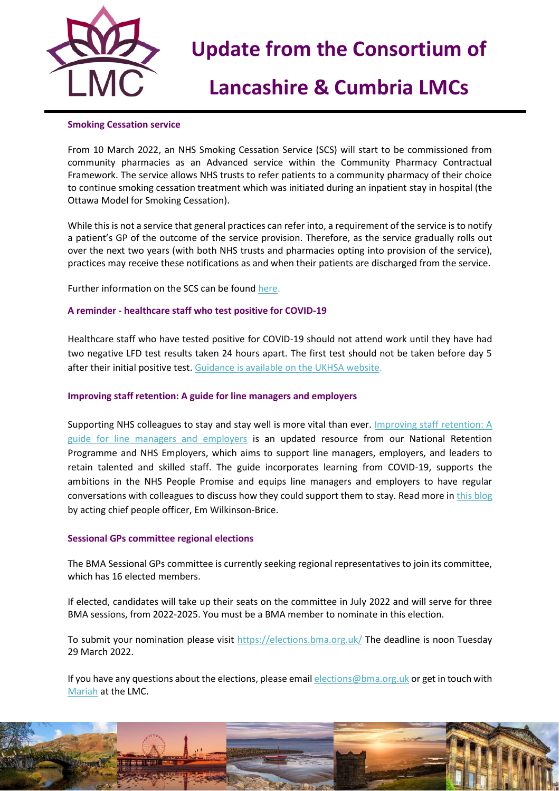

# **Lancashire & Cumbria LMCs**

## **Smoking Cessation service**

From 10 March 2022, an NHS Smoking Cessation Service (SCS) will start to be commissioned from community pharmacies as an Advanced service within the Community Pharmacy Contractual Framework. The service allows NHS trusts to refer patients to a community pharmacy of their choice to continue smoking cessation treatment which was initiated during an inpatient stay in hospital (the Ottawa Model for Smoking Cessation).

While this is not a service that general practices can refer into, a requirement of the service is to notify a patient's GP of the outcome of the service provision. Therefore, as the service gradually rolls out over the next two years (with both NHS trusts and pharmacies opting into provision of the service), practices may receive these notifications as and when their patients are discharged from the service.

Further information on the SCS can be foun[d here.](http://www.psnc.org.uk/scs)

## **A reminder - healthcare staff who test positive for COVID-19**

Healthcare staff who have tested positive for COVID-19 should not attend work until they have had two negative LFD test results taken 24 hours apart. The first test should not be taken before day 5 after their initial positive test. [Guidance is available on the UKHSA website.](https://generalpracticebulletin.cmail19.com/t/d-l-fldhuhk-jutjldjudk-b/)

### **Improving staff retention: A guide for line managers and employers**

Supporting NHS colleagues to stay and stay well is more vital than ever. [Improving staff retention: A](https://generalpracticebulletin.cmail19.com/t/d-l-fldhuhk-jutjldjudk-jh/)  [guide for line managers and employers](https://generalpracticebulletin.cmail19.com/t/d-l-fldhuhk-jutjldjudk-jh/) is an updated resource from our National Retention Programme and NHS Employers, which aims to support line managers, employers, and leaders to retain talented and skilled staff. The guide incorporates learning from COVID-19, supports the ambitions in the NHS People Promise and equips line managers and employers to have regular conversations with colleagues to discuss how they could support them to stay. Read more i[n this blog](https://generalpracticebulletin.cmail19.com/t/d-l-fldhuhk-jutjldjudk-jk/) by acting chief people officer, Em Wilkinson-Brice.

### **Sessional GPs committee regional elections**

The BMA Sessional GPs committee is currently seeking regional representatives to join its committee, which has 16 elected members.

If elected, candidates will take up their seats on the committee in July 2022 and will serve for three BMA sessions, from 2022-2025. You must be a BMA member to nominate in this election.

To submit your nomination please visit<https://elections.bma.org.uk/> The deadline is noon Tuesday 29 March 2022.

If you have any questions about the elections, please emai[l elections@bma.org.uk](mailto:elections@bma.org.uk) or get in touch with [Mariah](mailto:maria.mulberry@nwlmcs.org) at the LMC.